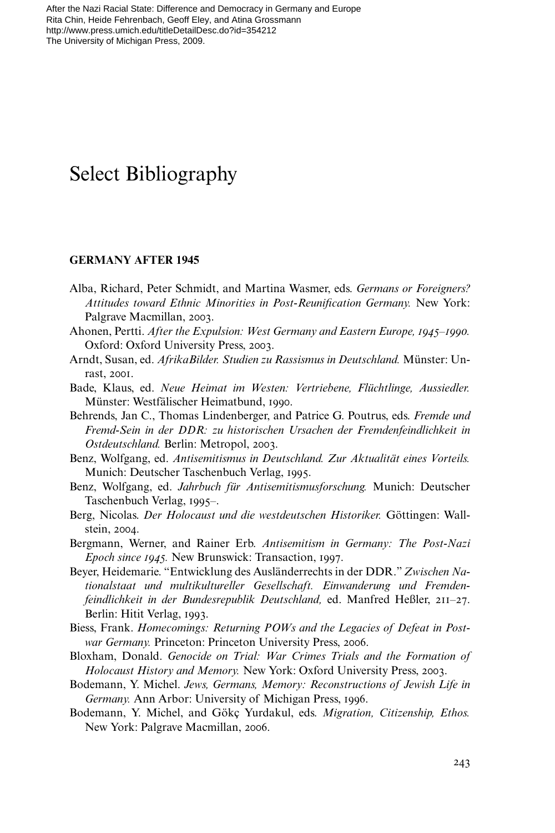# Select Bibliography

### **GERMANY AFTER 1945**

- Alba, Richard, Peter Schmidt, and Martina Wasmer, eds. *Germans or Foreigners? Attitudes toward Ethnic Minorities in Post-Reunification Germany.* New York: Palgrave Macmillan, 2003.
- Ahonen, Pertti. *After the Expulsion: West Germany and Eastern Europe, 1945–1990.* Oxford: Oxford University Press, 2003.
- Arndt, Susan, ed. *AfrikaBilder. Studien zu Rassismus in Deutschland.* Münster: Unrast, 2001.
- Bade, Klaus, ed. *Neue Heimat im Westen: Vertriebene, Flüchtlinge, Aussiedler.* Münster: Westfälischer Heimatbund, 1990.
- Behrends, Jan C., Thomas Lindenberger, and Patrice G. Poutrus, eds. *Fremde und Fremd-Sein in der DDR: zu historischen Ursachen der Fremdenfeindlichkeit in Ostdeutschland.* Berlin: Metropol, 2003.
- Benz, Wolfgang, ed. *Antisemitismus in Deutschland. Zur Aktualität eines Vorteils.* Munich: Deutscher Taschenbuch Verlag, 1995.
- Benz, Wolfgang, ed. *Jahrbuch für Antisemitismusforschung.* Munich: Deutscher Taschenbuch Verlag, 1995–.
- Berg, Nicolas. *Der Holocaust und die westdeutschen Historiker.* Göttingen: Wallstein, 2004.
- Bergmann, Werner, and Rainer Erb. *Antisemitism in Germany: The Post-Nazi Epoch since 1945.* New Brunswick: Transaction, 1997.
- Beyer, Heidemarie. "Entwicklung des Ausländerrechts in der DDR." *Zwischen Nationalstaat und multikultureller Gesellschaft. Einwanderung und Fremdenfeindlichkeit in der Bundesrepublik Deutschland,* ed. Manfred Heßler, 211–27. Berlin: Hitit Verlag, 1993.
- Biess, Frank. *Homecomings: Returning POWs and the Legacies of Defeat in Postwar Germany.* Princeton: Princeton University Press, 2006.
- Bloxham, Donald. *Genocide on Trial: War Crimes Trials and the Formation of Holocaust History and Memory.* New York: Oxford University Press, 2003.
- Bodemann, Y. Michel. *Jews, Germans, Memory: Reconstructions of Jewish Life in Germany.* Ann Arbor: University of Michigan Press, 1996.
- Bodemann, Y. Michel, and Gökç Yurdakul, eds. *Migration, Citizenship, Ethos.* New York: Palgrave Macmillan, 2006.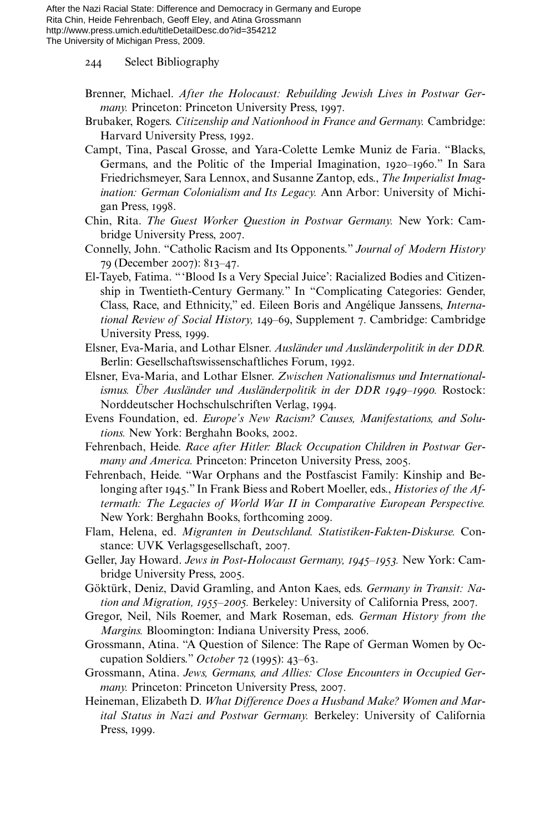244 Select Bibliography

- Brenner, Michael. *After the Holocaust: Rebuilding Jewish Lives in Postwar Germany.* Princeton: Princeton University Press, 1997.
- Brubaker, Rogers. *Citizenship and Nationhood in France and Germany.* Cambridge: Harvard University Press, 1992.
- Campt, Tina, Pascal Grosse, and Yara-Colette Lemke Muniz de Faria. "Blacks, Germans, and the Politic of the Imperial Imagination, 1920–1960." In Sara Friedrichsmeyer, Sara Lennox, and Susanne Zantop, eds., *The Imperialist Imagination: German Colonialism and Its Legacy.* Ann Arbor: University of Michigan Press, 1998.
- Chin, Rita. *The Guest Worker Question in Postwar Germany.* New York: Cambridge University Press, 2007.
- Connelly, John. "Catholic Racism and Its Opponents." *Journal of Modern History* 79 (December 2007): 813–47.
- El-Tayeb, Fatima. "'Blood Is a Very Special Juice': Racialized Bodies and Citizenship in Twentieth-Century Germany." In "Complicating Categories: Gender, Class, Race, and Ethnicity," ed. Eileen Boris and Angélique Janssens, *International Review of Social History,* 149–69, Supplement 7. Cambridge: Cambridge University Press, 1999.
- Elsner, Eva-Maria, and Lothar Elsner. *Ausländer und Ausländerpolitik in der DDR.* Berlin: Gesellschaftswissenschaftliches Forum, 1992.
- Elsner, Eva-Maria, and Lothar Elsner. *Zwischen Nationalismus und Internationalismus. Über Ausländer und Ausländerpolitik in der DDR 1949–1990.* Rostock: Norddeutscher Hochschulschriften Verlag, 1994.
- Evens Foundation, ed. *Europe's New Racism? Causes, Manifestations, and Solutions.* New York: Berghahn Books, 2002.
- Fehrenbach, Heide. *Race after Hitler: Black Occupation Children in Postwar Germany and America.* Princeton: Princeton University Press, 2005.
- Fehrenbach, Heide. "War Orphans and the Postfascist Family: Kinship and Belonging after 1945." In Frank Biess and Robert Moeller, eds., *Histories of the Aftermath: The Legacies of World War II in Comparative European Perspective.* New York: Berghahn Books, forthcoming 2009.
- Flam, Helena, ed. *Migranten in Deutschland. Statistiken-Fakten-Diskurse.* Constance: UVK Verlagsgesellschaft, 2007.
- Geller, Jay Howard. *Jews in Post-Holocaust Germany, 1945–1953.* New York: Cambridge University Press, 2005.
- Göktürk, Deniz, David Gramling, and Anton Kaes, eds. *Germany in Transit: Nation and Migration, 1955–2005.* Berkeley: University of California Press, 2007.
- Gregor, Neil, Nils Roemer, and Mark Roseman, eds. *German History from the Margins.* Bloomington: Indiana University Press, 2006.
- Grossmann, Atina. "A Question of Silence: The Rape of German Women by Occupation Soldiers." *October* 72 (1995): 43–63.
- Grossmann, Atina. *Jews, Germans, and Allies: Close Encounters in Occupied Germany.* Princeton: Princeton University Press, 2007.
- Heineman, Elizabeth D. *What Difference Does a Husband Make? Women and Marital Status in Nazi and Postwar Germany.* Berkeley: University of California Press, 1999.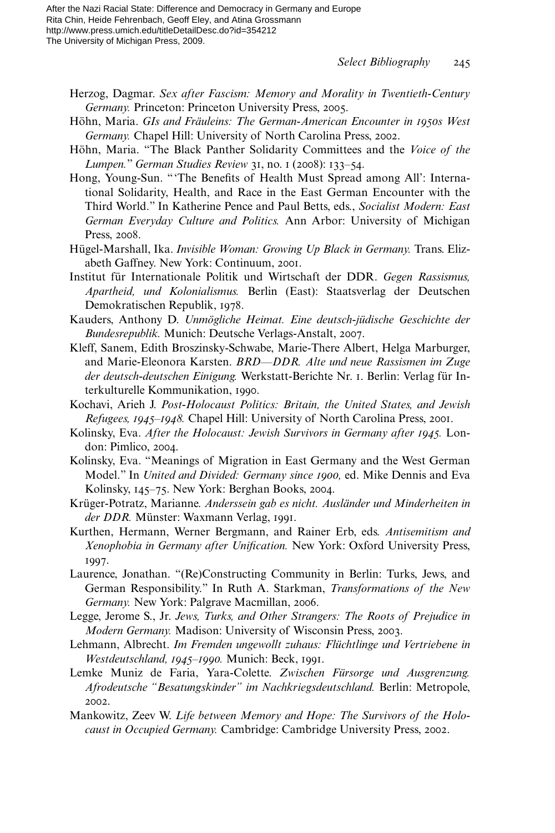- Herzog, Dagmar. *Sex after Fascism: Memory and Morality in Twentieth-Century Germany.* Princeton: Princeton University Press, 2005.
- Höhn, Maria. *GIs and Fräuleins: The German-American Encounter in 1950s West Germany.* Chapel Hill: University of North Carolina Press, 2002.
- Höhn, Maria. "The Black Panther Solidarity Committees and the *Voice of the Lumpen.*" *German Studies Review* 31, no. 1 (2008): 133–54.
- Hong, Young-Sun. "'The Benefits of Health Must Spread among All': International Solidarity, Health, and Race in the East German Encounter with the Third World." In Katherine Pence and Paul Betts, eds., *Socialist Modern: East German Everyday Culture and Politics.* Ann Arbor: University of Michigan Press, 2008.
- Hügel-Marshall, Ika. *Invisible Woman: Growing Up Black in Germany.* Trans. Elizabeth Gaffney. New York: Continuum, 2001.
- Institut für Internationale Politik und Wirtschaft der DDR. *Gegen Rassismus, Apartheid, und Kolonialismus.* Berlin (East): Staatsverlag der Deutschen Demokratischen Republik, 1978.
- Kauders, Anthony D. *Unmögliche Heimat. Eine deutsch-jüdische Geschichte der Bundesrepublik.* Munich: Deutsche Verlags-Anstalt, 2007.
- Kleff, Sanem, Edith Broszinsky-Schwabe, Marie-There Albert, Helga Marburger, and Marie-Eleonora Karsten. *BRD—DDR. Alte und neue Rassismen im Zuge der deutsch-deutschen Einigung.* Werkstatt-Berichte Nr. 1. Berlin: Verlag für Interkulturelle Kommunikation, 1990.
- Kochavi, Arieh J. *Post-Holocaust Politics: Britain, the United States, and Jewish Refugees, 1945–1948.* Chapel Hill: University of North Carolina Press, 2001.
- Kolinsky, Eva. *After the Holocaust: Jewish Survivors in Germany after 1945.* London: Pimlico, 2004.
- Kolinsky, Eva. "Meanings of Migration in East Germany and the West German Model." In *United and Divided: Germany since 1900,* ed. Mike Dennis and Eva Kolinsky, 145–75. New York: Berghan Books, 2004.
- Krüger-Potratz, Marianne. *Anderssein gab es nicht. Ausländer und Minderheiten in der DDR.* Münster: Waxmann Verlag, 1991.
- Kurthen, Hermann, Werner Bergmann, and Rainer Erb, eds. *Antisemitism and Xenophobia in Germany after Unification.* New York: Oxford University Press, 1997.
- Laurence, Jonathan. "(Re)Constructing Community in Berlin: Turks, Jews, and German Responsibility." In Ruth A. Starkman, *Transformations of the New Germany.* New York: Palgrave Macmillan, 2006.
- Legge, Jerome S., Jr. *Jews, Turks, and Other Strangers: The Roots of Prejudice in Modern Germany.* Madison: University of Wisconsin Press, 2003.
- Lehmann, Albrecht. *Im Fremden ungewollt zuhaus: Flüchtlinge und Vertriebene in Westdeutschland, 1945–1990.* Munich: Beck, 1991.
- Lemke Muniz de Faria, Yara-Colette. *Zwischen Fürsorge und Ausgrenzung. Afrodeutsche "Besatungskinder" im Nachkriegsdeutschland.* Berlin: Metropole, 2002.
- Mankowitz, Zeev W. *Life between Memory and Hope: The Survivors of the Holocaust in Occupied Germany.* Cambridge: Cambridge University Press, 2002.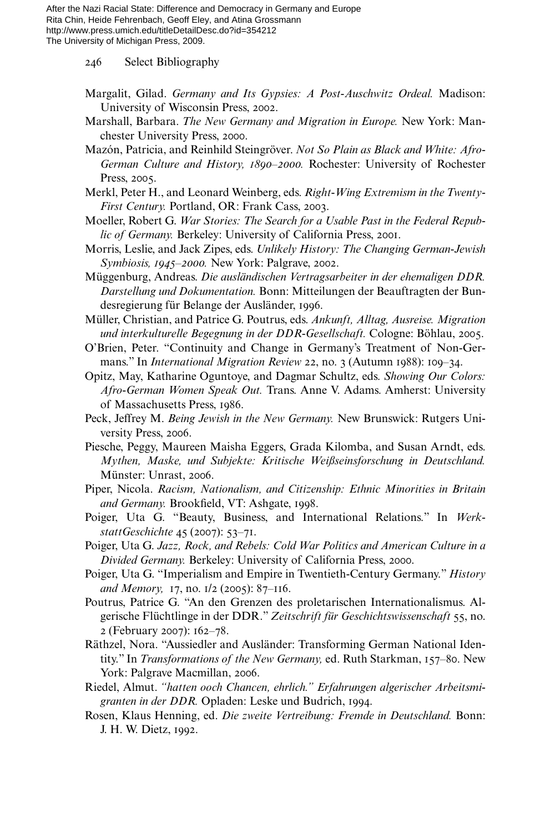246 Select Bibliography

- Margalit, Gilad. *Germany and Its Gypsies: A Post-Auschwitz Ordeal.* Madison: University of Wisconsin Press, 2002.
- Marshall, Barbara. *The New Germany and Migration in Europe.* New York: Manchester University Press, 2000.
- Mazón, Patricia, and Reinhild Steingröver. *Not So Plain as Black and White: Afro-German Culture and History, 1890–2000.* Rochester: University of Rochester Press, 2005.
- Merkl, Peter H., and Leonard Weinberg, eds. *Right-Wing Extremism in the Twenty-First Century.* Portland, OR: Frank Cass, 2003.
- Moeller, Robert G. *War Stories: The Search for a Usable Past in the Federal Republic of Germany.* Berkeley: University of California Press, 2001.
- Morris, Leslie, and Jack Zipes, eds. *Unlikely History: The Changing German-Jewish Symbiosis, 1945–2000.* New York: Palgrave, 2002.
- Müggenburg, Andreas. *Die ausländischen Vertragsarbeiter in der ehemaligen DDR. Darstellung und Dokumentation.* Bonn: Mitteilungen der Beauftragten der Bundesregierung für Belange der Ausländer, 1996.
- Müller, Christian, and Patrice G. Poutrus, eds. *Ankunft, Alltag, Ausreise. Migration und interkulturelle Begegnung in der DDR-Gesellschaft.* Cologne: Böhlau, 2005.
- O'Brien, Peter. "Continuity and Change in Germany's Treatment of Non-Germans." In *International Migration Review* 22, no. 3 (Autumn 1988): 109–34.
- Opitz, May, Katharine Oguntoye, and Dagmar Schultz, eds. *Showing Our Colors: Afro-German Women Speak Out.* Trans. Anne V. Adams. Amherst: University of Massachusetts Press, 1986.
- Peck, Jeffrey M. *Being Jewish in the New Germany.* New Brunswick: Rutgers University Press, 2006.
- Piesche, Peggy, Maureen Maisha Eggers, Grada Kilomba, and Susan Arndt, eds. *Mythen, Maske, und Subjekte: Kritische Weißseinsforschung in Deutschland.* Münster: Unrast, 2006.
- Piper, Nicola. *Racism, Nationalism, and Citizenship: Ethnic Minorities in Britain* and Germany. Brookfield, VT: Ashgate, 1998.
- Poiger, Uta G. "Beauty, Business, and International Relations." In *WerkstattGeschichte* 45 (2007): 53–71.
- Poiger, Uta G. *Jazz, Rock, and Rebels: Cold War Politics and American Culture in a Divided Germany.* Berkeley: University of California Press, 2000.
- Poiger, Uta G. "Imperialism and Empire in Twentieth-Century Germany." *History and Memory,* 17, no. 1/2 (2005): 87–116.
- Poutrus, Patrice G. "An den Grenzen des proletarischen Internationalismus. Algerische Flüchtlinge in der DDR." *Zeitschrift für Geschichtswissenschaft* 55, no. 2 (February 2007): 162–78.
- Räthzel, Nora. "Aussiedler and Ausländer: Transforming German National Identity." In *Transformations of the New Germany,* ed. Ruth Starkman, 157–80. New York: Palgrave Macmillan, 2006.
- Riedel, Almut. *"hatten ooch Chancen, ehrlich." Erfahrungen algerischer Arbeitsmigranten in der DDR.* Opladen: Leske und Budrich, 1994.
- Rosen, Klaus Henning, ed. *Die zweite Vertreibung: Fremde in Deutschland.* Bonn: J. H. W. Dietz, 1992.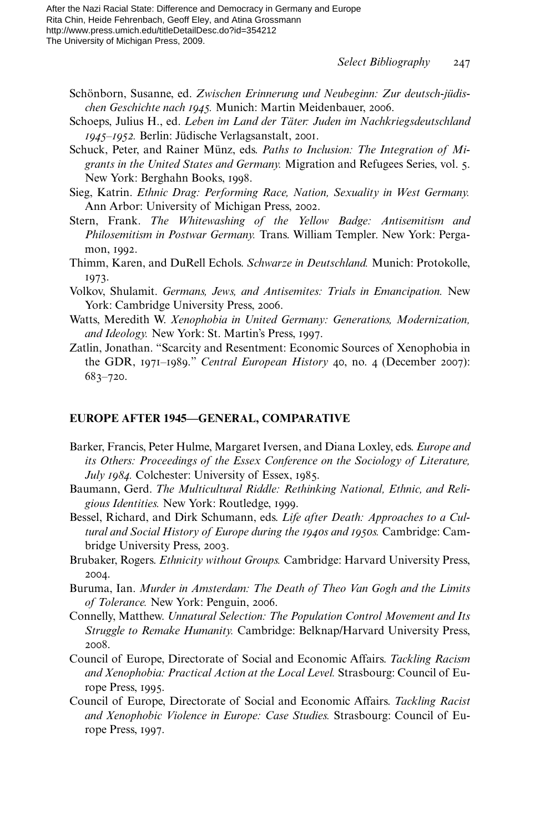- Schönborn, Susanne, ed. *Zwischen Erinnerung und Neubeginn: Zur deutsch-jüdischen Geschichte nach 1945.* Munich: Martin Meidenbauer, 2006.
- Schoeps, Julius H., ed. *Leben im Land der Täter: Juden im Nachkriegsdeutschland 1945–1952.* Berlin: Jüdische Verlagsanstalt, 2001.
- Schuck, Peter, and Rainer Münz, eds. *Paths to Inclusion: The Integration of Migrants in the United States and Germany.* Migration and Refugees Series, vol. 5. New York: Berghahn Books, 1998.
- Sieg, Katrin. *Ethnic Drag: Performing Race, Nation, Sexuality in West Germany.* Ann Arbor: University of Michigan Press, 2002.
- Stern, Frank. *The Whitewashing of the Yellow Badge: Antisemitism and Philosemitism in Postwar Germany.* Trans. William Templer. New York: Pergamon, 1992.
- Thimm, Karen, and DuRell Echols. *Schwarze in Deutschland.* Munich: Protokolle, 1973.
- Volkov, Shulamit. *Germans, Jews, and Antisemites: Trials in Emancipation.* New York: Cambridge University Press, 2006.
- Watts, Meredith W. *Xenophobia in United Germany: Generations, Modernization, and Ideology.* New York: St. Martin's Press, 1997.
- Zatlin, Jonathan. "Scarcity and Resentment: Economic Sources of Xenophobia in the GDR, 1971–1989." *Central European History* 40, no. 4 (December 2007): 683–720.

#### **EUROPE AFTER 1945—GENERAL, COMPARATIVE**

- Barker, Francis, Peter Hulme, Margaret Iversen, and Diana Loxley, eds. *Europe and its Others: Proceedings of the Essex Conference on the Sociology of Literature, July 1984.* Colchester: University of Essex, 1985.
- Baumann, Gerd. *The Multicultural Riddle: Rethinking National, Ethnic, and Religious Identities.* New York: Routledge, 1999.
- Bessel, Richard, and Dirk Schumann, eds. *Life after Death: Approaches to a Cultural and Social History of Europe during the 1940s and 1950s.* Cambridge: Cambridge University Press, 2003.
- Brubaker, Rogers. *Ethnicity without Groups.* Cambridge: Harvard University Press, 2004.
- Buruma, Ian. *Murder in Amsterdam: The Death of Theo Van Gogh and the Limits of Tolerance.* New York: Penguin, 2006.
- Connelly, Matthew. *Unnatural Selection: The Population Control Movement and Its Struggle to Remake Humanity.* Cambridge: Belknap/Harvard University Press, 2008.
- Council of Europe, Directorate of Social and Economic Affairs. *Tackling Racism and Xenophobia: Practical Action at the Local Level.* Strasbourg: Council of Europe Press, 1995.
- Council of Europe, Directorate of Social and Economic Affairs. *Tackling Racist and Xenophobic Violence in Europe: Case Studies.* Strasbourg: Council of Europe Press, 1997.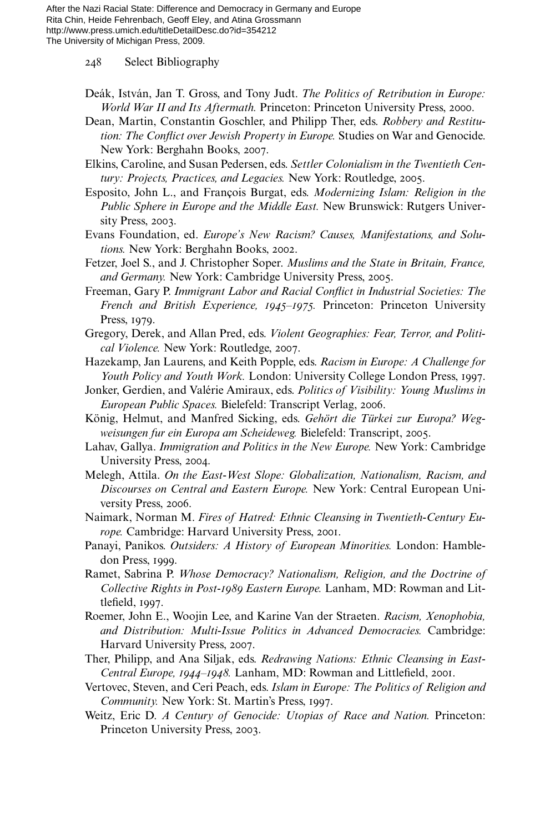248 Select Bibliography

- Deák, István, Jan T. Gross, and Tony Judt. *The Politics of Retribution in Europe: World War II and Its Aftermath.* Princeton: Princeton University Press, 2000.
- Dean, Martin, Constantin Goschler, and Philipp Ther, eds. *Robbery and Restitution: The Conflict over Jewish Property in Europe.* Studies on War and Genocide. New York: Berghahn Books, 2007.
- Elkins, Caroline, and Susan Pedersen, eds. *Settler Colonialism in the Twentieth Century: Projects, Practices, and Legacies.* New York: Routledge, 2005.
- Esposito, John L., and François Burgat, eds. *Modernizing Islam: Religion in the Public Sphere in Europe and the Middle East.* New Brunswick: Rutgers University Press, 2003.
- Evans Foundation, ed. *Europe's New Racism? Causes, Manifestations, and Solutions.* New York: Berghahn Books, 2002.
- Fetzer, Joel S., and J. Christopher Soper. *Muslims and the State in Britain, France, and Germany.* New York: Cambridge University Press, 2005.
- Freeman, Gary P. *Immigrant Labor and Racial Conflict in Industrial Societies: The French and British Experience, 1945–1975.* Princeton: Princeton University Press, 1979.
- Gregory, Derek, and Allan Pred, eds. *Violent Geographies: Fear, Terror, and Political Violence.* New York: Routledge, 2007.
- Hazekamp, Jan Laurens, and Keith Popple, eds. *Racism in Europe: A Challenge for Youth Policy and Youth Work.* London: University College London Press, 1997.
- Jonker, Gerdien, and Valérie Amiraux, eds. *Politics of Visibility: Young Muslims in European Public Spaces.* Bielefeld: Transcript Verlag, 2006.
- König, Helmut, and Manfred Sicking, eds. *Gehört die Türkei zur Europa? Wegweisungen fur ein Europa am Scheideweg.* Bielefeld: Transcript, 2005.
- Lahav, Gallya. *Immigration and Politics in the New Europe.* New York: Cambridge University Press, 2004.
- Melegh, Attila. *On the East-West Slope: Globalization, Nationalism, Racism, and Discourses on Central and Eastern Europe.* New York: Central European University Press, 2006.
- Naimark, Norman M. *Fires of Hatred: Ethnic Cleansing in Twentieth-Century Europe.* Cambridge: Harvard University Press, 2001.
- Panayi, Panikos. *Outsiders: A History of European Minorities.* London: Hambledon Press, 1999.
- Ramet, Sabrina P. *Whose Democracy? Nationalism, Religion, and the Doctrine of Collective Rights in Post-1989 Eastern Europe.* Lanham, MD: Rowman and Littlefield, 1997.
- Roemer, John E., Woojin Lee, and Karine Van der Straeten. *Racism, Xenophobia, and Distribution: Multi-Issue Politics in Advanced Democracies.* Cambridge: Harvard University Press, 2007.
- Ther, Philipp, and Ana Siljak, eds. *Redrawing Nations: Ethnic Cleansing in East-Central Europe, 1944–1948. Lanham, MD: Rowman and Littlefield, 2001.*
- Vertovec, Steven, and Ceri Peach, eds. *Islam in Europe: The Politics of Religion and Community.* New York: St. Martin's Press, 1997.
- Weitz, Eric D. *A Century of Genocide: Utopias of Race and Nation.* Princeton: Princeton University Press, 2003.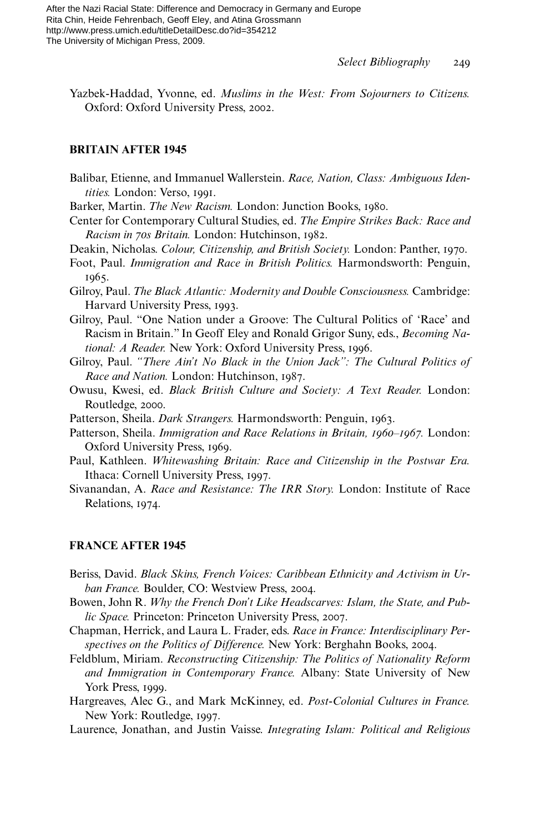Yazbek-Haddad, Yvonne, ed. *Muslims in the West: From Sojourners to Citizens.* Oxford: Oxford University Press, 2002.

### **BRITAIN AFTER 1945**

- Balibar, Etienne, and Immanuel Wallerstein. *Race, Nation, Class: Ambiguous Identities.* London: Verso, 1991.
- Barker, Martin. *The New Racism.* London: Junction Books, 1980.
- Center for Contemporary Cultural Studies, ed. *The Empire Strikes Back: Race and Racism in 70s Britain.* London: Hutchinson, 1982.
- Deakin, Nicholas. *Colour, Citizenship, and British Society.* London: Panther, 1970.
- Foot, Paul. *Immigration and Race in British Politics.* Harmondsworth: Penguin, 1965.
- Gilroy, Paul. *The Black Atlantic: Modernity and Double Consciousness.* Cambridge: Harvard University Press, 1993.
- Gilroy, Paul. "One Nation under a Groove: The Cultural Politics of 'Race' and Racism in Britain." In Geoff Eley and Ronald Grigor Suny, eds., *Becoming National: A Reader.* New York: Oxford University Press, 1996.
- Gilroy, Paul. *"There Ain't No Black in the Union Jack": The Cultural Politics of Race and Nation.* London: Hutchinson, 1987.
- Owusu, Kwesi, ed. *Black British Culture and Society: A Text Reader.* London: Routledge, 2000.
- Patterson, Sheila. *Dark Strangers.* Harmondsworth: Penguin, 1963.
- Patterson, Sheila. *Immigration and Race Relations in Britain, 1960–1967.* London: Oxford University Press, 1969.
- Paul, Kathleen. *Whitewashing Britain: Race and Citizenship in the Postwar Era.* Ithaca: Cornell University Press, 1997.
- Sivanandan, A. *Race and Resistance: The IRR Story.* London: Institute of Race Relations, 1974.

### **FRANCE AFTER 1945**

- Beriss, David. *Black Skins, French Voices: Caribbean Ethnicity and Activism in Urban France.* Boulder, CO: Westview Press, 2004.
- Bowen, John R. *Why the French Don't Like Headscarves: Islam, the State, and Public Space.* Princeton: Princeton University Press, 2007.
- Chapman, Herrick, and Laura L. Frader, eds. *Race in France: Interdisciplinary Perspectives on the Politics of Difference.* New York: Berghahn Books, 2004.
- Feldblum, Miriam. *Reconstructing Citizenship: The Politics of Nationality Reform and Immigration in Contemporary France.* Albany: State University of New York Press, 1999.
- Hargreaves, Alec G., and Mark McKinney, ed. *Post-Colonial Cultures in France.* New York: Routledge, 1997.
- Laurence, Jonathan, and Justin Vaisse. *Integrating Islam: Political and Religious*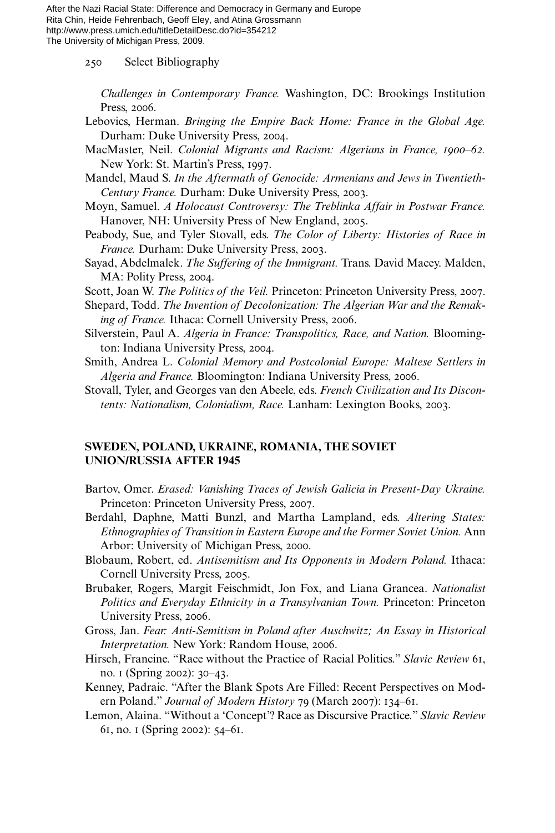250 Select Bibliography

*Challenges in Contemporary France.* Washington, DC: Brookings Institution Press, 2006.

- Lebovics, Herman. *Bringing the Empire Back Home: France in the Global Age.* Durham: Duke University Press, 2004.
- MacMaster, Neil. *Colonial Migrants and Racism: Algerians in France, 1900–62.* New York: St. Martin's Press, 1997.
- Mandel, Maud S. *In the Aftermath of Genocide: Armenians and Jews in Twentieth-Century France.* Durham: Duke University Press, 2003.
- Moyn, Samuel. *A Holocaust Controversy: The Treblinka Affair in Postwar France.* Hanover, NH: University Press of New England, 2005.
- Peabody, Sue, and Tyler Stovall, eds. *The Color of Liberty: Histories of Race in France.* Durham: Duke University Press, 2003.
- Sayad, Abdelmalek. *The Suffering of the Immigrant.* Trans. David Macey. Malden, MA: Polity Press, 2004.
- Scott, Joan W. *The Politics of the Veil.* Princeton: Princeton University Press, 2007.
- Shepard, Todd. *The Invention of Decolonization: The Algerian War and the Remaking of France.* Ithaca: Cornell University Press, 2006.
- Silverstein, Paul A. *Algeria in France: Transpolitics, Race, and Nation.* Bloomington: Indiana University Press, 2004.
- Smith, Andrea L. *Colonial Memory and Postcolonial Europe: Maltese Settlers in Algeria and France.* Bloomington: Indiana University Press, 2006.
- Stovall, Tyler, and Georges van den Abeele, eds. *French Civilization and Its Discontents: Nationalism, Colonialism, Race.* Lanham: Lexington Books, 2003.

## **SWEDEN, POLAND, UKRAINE, ROMANIA, THE SOVIET UNION/RUSSIA AFTER 1945**

- Bartov, Omer. *Erased: Vanishing Traces of Jewish Galicia in Present-Day Ukraine.* Princeton: Princeton University Press, 2007.
- Berdahl, Daphne, Matti Bunzl, and Martha Lampland, eds. *Altering States: Ethnographies of Transition in Eastern Europe and the Former Soviet Union.* Ann Arbor: University of Michigan Press, 2000.
- Blobaum, Robert, ed. *Antisemitism and Its Opponents in Modern Poland.* Ithaca: Cornell University Press, 2005.
- Brubaker, Rogers, Margit Feischmidt, Jon Fox, and Liana Grancea. *Nationalist Politics and Everyday Ethnicity in a Transylvanian Town.* Princeton: Princeton University Press, 2006.
- Gross, Jan. *Fear: Anti-Semitism in Poland after Auschwitz; An Essay in Historical Interpretation.* New York: Random House, 2006.
- Hirsch, Francine. "Race without the Practice of Racial Politics." *Slavic Review* 61, no. 1 (Spring 2002): 30–43.
- Kenney, Padraic. "After the Blank Spots Are Filled: Recent Perspectives on Modern Poland." *Journal of Modern History* 79 (March 2007): 134–61.
- Lemon, Alaina. "Without a 'Concept'? Race as Discursive Practice." *Slavic Review* 61, no. 1 (Spring 2002): 54–61.